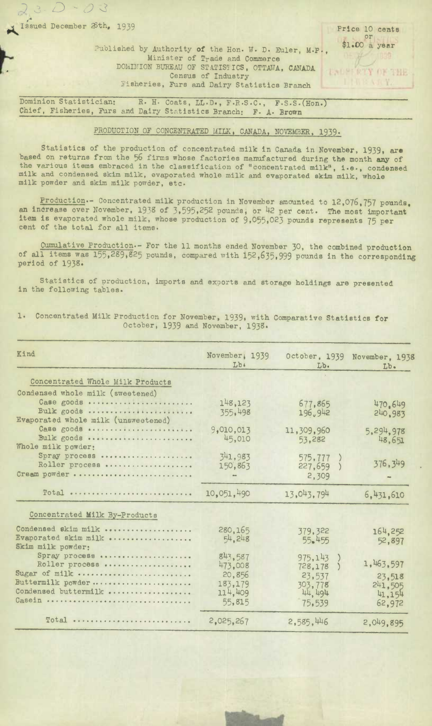Issued December 26th, 1939

23. D - 03

Published by Authority of the Hon. W. D. Euler, M.P., Minister of Trade and Commerce DOMINION BUREAU OF STATISTICS, OTTAWA, CANADA Census of Industry Yleheries, Furs and Dairy Statistics Branch

Price 10 cents or \$1.00 a year

**UNDER RTY OF THE** 

Dominion Statistician: R. H. Coats, LL.D., F.R.S.C., F.S.S.(Hon.) Chief, Fisheries, Furs and Dairy Statistics Branch: F. A. Brown

## PRODUCTION OF CONCENTRATED MILK, CANADA, NOVEMBER, 1939.

Statistics of the production of concentrated milk in Canada in November, 1939, **are**  based on returns from the 56 firms whose factories manufactured during the month any of the various items embraced in the classification of "concentrated milk", 1.e., condensed **milk** and condensed skim milk, evaporated whole milk and evaporated **skim** milk, whole milk powder and skim milk powder, etc.

Production.- Concentrated milk production in November amounted to 12,076,757 pounds, an increase over November, 1938 of  $3,595,252$  pounds, or 42 per cent. The most important item **Is** evaporated whole milk, whose production of 9,055,023 **pounds represents** 75 per cent of the total for all items.

Cumulative Production.- For the 11 months ended November 30, the **combined production of all items was** 155, 289,825 pounds, compared with 15<sup>2</sup> ,635,999 pounds in the corresponding period of 1938.

Statistics of production, imports and exports and storage holdings are presented in the following tables.

| Kind                                      | November, 1939<br>Lb | Lb.                  | October, 1939 November, 1938<br>Lb. |
|-------------------------------------------|----------------------|----------------------|-------------------------------------|
| Concentrated Whole Milk Products          |                      |                      |                                     |
| Condensed whole milk (sweetened)          |                      |                      |                                     |
| Case goods                                | 148,123              | 677,865              | 470.649                             |
| Bulk goods                                | 355,498              | 196,942              | 240.983                             |
| Evaporated whole milk (unsweetened)       |                      |                      |                                     |
| Case goods<br>Bulk goods                  | 9,010,013<br>45,010  | 11,309.960<br>53,282 | 5,294,978                           |
| Whole milk powder:                        |                      |                      | 48,651                              |
| Spray process                             | 341,983              | 575,777              |                                     |
| Roller process                            | 150,863              | 227,659              | 376.349                             |
| Cream powder                              |                      | 2,309                |                                     |
| Total                                     | 10,051,490           | 13,043.794           | 6,431,610                           |
| Concentrated Milk By-Products             |                      |                      |                                     |
| Condensed skim milk                       | 280,165              | 379,322              |                                     |
| Evaporated skim milk                      | 54.248               | 55.455               | 164,252<br>52,897                   |
| Skim milk powder:                         |                      |                      |                                     |
| Spray process                             | 843,587              | 975.143              |                                     |
| Roller process                            | 473.008              | 728.178              | 1,463,597                           |
| Sugar of milk                             | 20,856               | 23,537               | 23,518                              |
| Buttermilk powder<br>Condensed buttermilk | 183,179<br>114,409   | 303,778              | 241,505                             |
| Casein                                    | 55,815               | 44.494<br>75,539     | 41,154                              |
|                                           |                      |                      | 62,972                              |
| Total                                     | 2,025,267            | 2,585,446            | 2,049,895                           |

1. Concentrated Milk Production for November, 1939, with Comparative Statistics for October, 1939 and November, 1938.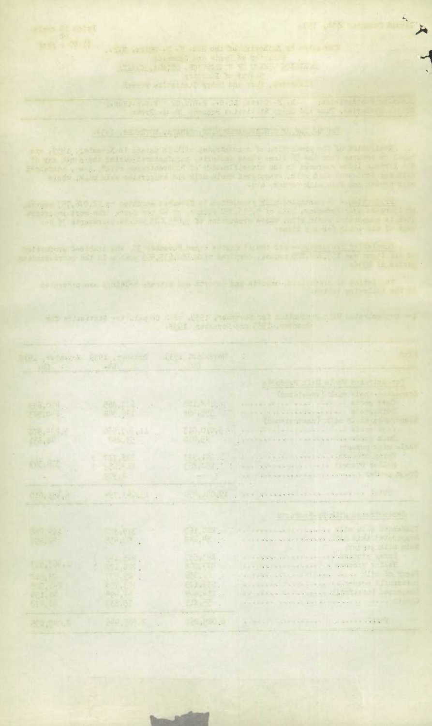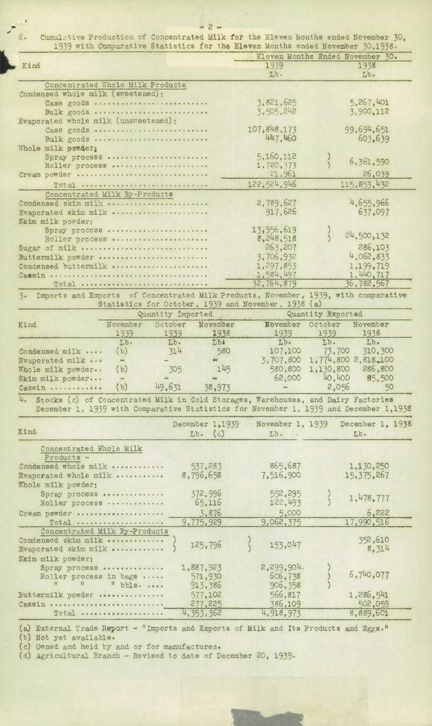|                                                                                              |                        |                   | $-2-$            |                                                                                |                               |                  |  |
|----------------------------------------------------------------------------------------------|------------------------|-------------------|------------------|--------------------------------------------------------------------------------|-------------------------------|------------------|--|
| Cumulative Production of Concentrated Milk for the Eleven Months ended November 30,<br>2.    |                        |                   |                  |                                                                                |                               |                  |  |
|                                                                                              |                        |                   |                  | 1939 with Comparative Statistics for the Eleven Months ended November 30,1938. |                               |                  |  |
|                                                                                              |                        |                   |                  |                                                                                |                               |                  |  |
|                                                                                              |                        |                   |                  | Eleven Months Ended November 30.                                               |                               |                  |  |
| Kind                                                                                         |                        |                   |                  | 1939                                                                           |                               | 1938             |  |
|                                                                                              |                        |                   |                  | Lb.                                                                            |                               | Lb.              |  |
| Concentrated Whole Milk Products                                                             |                        |                   |                  |                                                                                |                               |                  |  |
| Condensed whole milk (sweetened):                                                            |                        |                   |                  |                                                                                |                               |                  |  |
| Case goods                                                                                   |                        |                   |                  | 3,821,625                                                                      |                               | 5,267,401        |  |
| Bulk goods                                                                                   |                        |                   |                  | 3,505,242                                                                      |                               | 3,900,112        |  |
|                                                                                              |                        |                   |                  |                                                                                |                               |                  |  |
| Evaporated whole milk (unsweetened):                                                         |                        |                   |                  |                                                                                |                               |                  |  |
| Case goods                                                                                   |                        |                   |                  | 107,848,173                                                                    |                               | 99,694,651       |  |
| Bulk goods                                                                                   |                        |                   |                  | 447,460                                                                        |                               | 603,639          |  |
| Whole milk powder:                                                                           |                        |                   |                  |                                                                                |                               |                  |  |
| Spray process                                                                                |                        |                   |                  | 5,160,112                                                                      |                               | 6,361,590        |  |
| Roller process                                                                               |                        |                   |                  | 1,720,373                                                                      |                               |                  |  |
| Cream powder                                                                                 |                        |                   |                  | 21,961                                                                         |                               | 26,039           |  |
| Total                                                                                        |                        |                   |                  | 122, 524, 946                                                                  |                               | 115,853,432      |  |
| Concentrated Milk By-Products                                                                |                        |                   |                  |                                                                                |                               |                  |  |
| Condensed skim milk                                                                          |                        |                   |                  | 2,789,627                                                                      |                               | 4,655,966        |  |
|                                                                                              |                        |                   |                  | 917,626                                                                        |                               | 637,097          |  |
| Evaporated skim milk                                                                         |                        |                   |                  |                                                                                |                               |                  |  |
| Skim milk powder:                                                                            |                        |                   |                  |                                                                                |                               |                  |  |
| Spray process                                                                                |                        |                   |                  | 13,956,619                                                                     |                               | 24,500,132       |  |
| Roller process                                                                               |                        |                   |                  | 8,248,518                                                                      |                               |                  |  |
| Sugar of milk                                                                                |                        |                   |                  | 263,207                                                                        |                               | 286,103          |  |
| Buttermilk powder                                                                            |                        |                   |                  | 3,706,932                                                                      |                               | 4,062,833        |  |
| Condensed buttermilk                                                                         |                        |                   |                  | 1,297,853                                                                      |                               | 1,199,719        |  |
|                                                                                              |                        |                   |                  | 1,584,497                                                                      |                               | 1, 440, 717      |  |
| Total                                                                                        |                        |                   |                  | 32, 764, 879                                                                   |                               | 36,782,567       |  |
|                                                                                              |                        |                   |                  |                                                                                |                               |                  |  |
| Imports and Exports of Concentrated Milk Products, November, 1939, with comparative<br>$3 -$ |                        |                   |                  |                                                                                |                               |                  |  |
| Statistics for October, 1939 and November, 1938 (a)                                          |                        |                   |                  |                                                                                |                               |                  |  |
|                                                                                              |                        |                   |                  |                                                                                | Quantity Exported             |                  |  |
|                                                                                              |                        | Quantity Imported |                  |                                                                                |                               |                  |  |
| Kind                                                                                         | November               |                   | October November |                                                                                | November October              | November         |  |
|                                                                                              | 1939                   | 1939              | 1938             | 1939                                                                           | 1939                          | 1938             |  |
|                                                                                              | Lb.                    | Lb.               | LD4              | Lb.                                                                            | Lb.                           | Lb.              |  |
|                                                                                              |                        |                   |                  |                                                                                |                               |                  |  |
| Condensed milk  (b) $31^4$ 580                                                               | $\mathbf{m}\mathbf{e}$ |                   |                  |                                                                                | 107,100 73,700 310,300        |                  |  |
| Evaporated milk                                                                              |                        |                   |                  |                                                                                | 3,707,800 1,774,800 2,818,100 |                  |  |
| Whole milk powder                                                                            | (b)                    | 305               | 145              |                                                                                | 580,800 1,130,800 286,800     |                  |  |
| Skim milk powder                                                                             |                        |                   |                  | 62,000                                                                         | 40,400                        | 85,500           |  |
| Casein                                                                                       | (b)                    | 49,631            | 38,973           |                                                                                | 2,056                         | 50               |  |
| 4.<br>Stocks (c) of Concentrated Milk in Cold Storages, Warehouses, and Dairy Factories      |                        |                   |                  |                                                                                |                               |                  |  |
| December 1, 1939 with Comparative Statistics for November 1, 1939 and December 1, 1936       |                        |                   |                  |                                                                                |                               |                  |  |
|                                                                                              |                        |                   |                  |                                                                                |                               |                  |  |
|                                                                                              |                        |                   | December 1,1939  | November 1, 1939                                                               |                               | December 1, 1938 |  |
| Kind                                                                                         |                        |                   | (d)<br>$Lb$ .    | Lb.<br>$\sim$                                                                  |                               | Lb.              |  |
|                                                                                              |                        |                   |                  |                                                                                |                               |                  |  |
| Concentrated Whole Milk                                                                      |                        |                   |                  |                                                                                |                               |                  |  |
| $Products -$                                                                                 |                        |                   |                  |                                                                                |                               |                  |  |
| Condensed whole milk                                                                         |                        |                   | 537,283          | 865,687                                                                        |                               | 1,130,250        |  |
| Evaporated whole milk                                                                        |                        |                   | 8,796,658        | 7,516,900                                                                      |                               | 15,375,267       |  |
| Whole milk powder:                                                                           |                        |                   |                  |                                                                                |                               |                  |  |
|                                                                                              |                        |                   |                  |                                                                                |                               |                  |  |
| Spray process                                                                                |                        |                   | 372,996          | 552,295                                                                        |                               | 1,478,777        |  |
| Roller process                                                                               |                        |                   | 65,116           | 122,493                                                                        |                               |                  |  |
| Cream powder                                                                                 |                        |                   | 3,876            | 5,000                                                                          |                               | 6,222            |  |
| Total<br>Concentrated Milk By-Products                                                       |                        |                   | 9,775,929        | 9,062,375                                                                      |                               | 17,990,516       |  |

Condensed skim milk ............. 125, 796 } 153, 047 352,610<br>8,314 Evaporated sk im milk **............** ) <sup>8</sup> ,31 <sup>14</sup> Skim milk powder: Spray process .............. 1,887,923 2,299,904.<br>Roller process in bags ..... 571,930 606,738<br>
" "bbls..... 913,386 906,358 Roller process in bags ..... 571,930 606,738 ) 6,740,077 1,887,923<br>
571,930<br>
913,386<br>
906,738<br>
913,386<br>
906,358<br>
577,102<br>
277,225<br>
4,353,362<br>
4,918,973 Buttermilk powder ......... **.** 577,102 566,817 1,286,5141 Casein . ............. 277,225 386,109 502,059 **Total ...................** 

(a) External Trade Report - "Imports and Exports of Milk and Its Products and Eggs." Not yet available.

(c) Owned and held by and or for manufactures.

(a) Agricultural Branch **-** Revised to date of December 20, 1939-